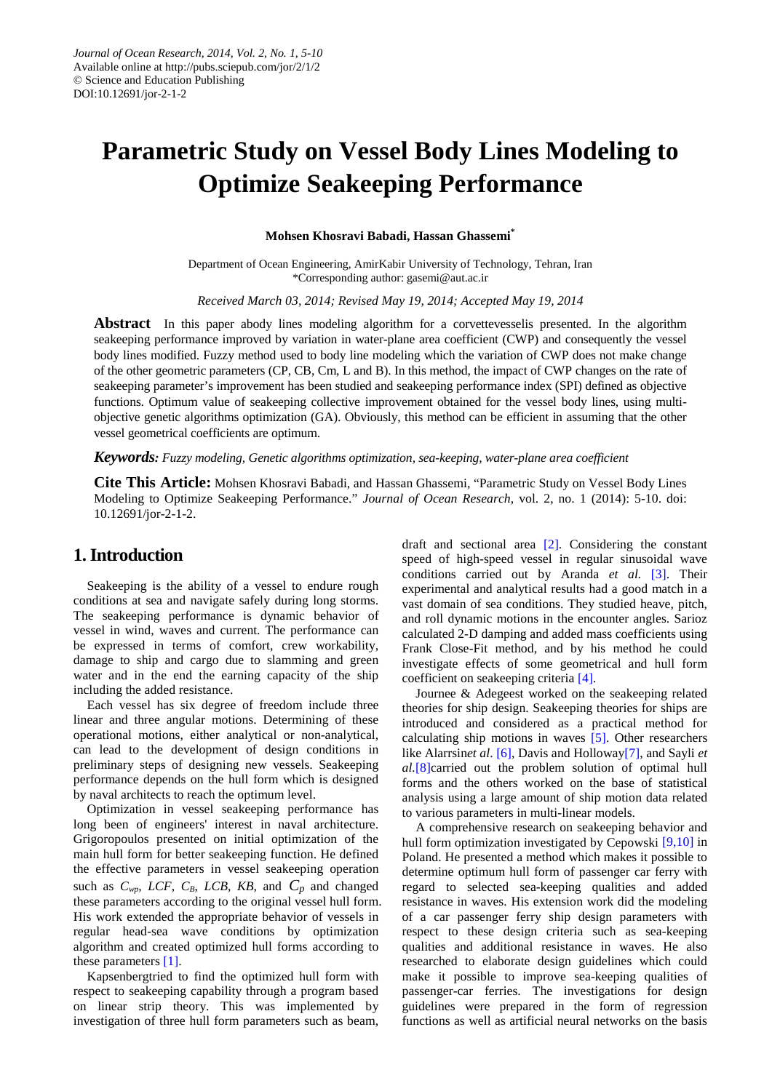# **Parametric Study on Vessel Body Lines Modeling to Optimize Seakeeping Performance**

**Mohsen Khosravi Babadi, Hassan Ghassemi\***

Department of Ocean Engineering, AmirKabir University of Technology, Tehran, Iran \*Corresponding author: gasemi@aut.ac.ir

*Received March 03, 2014; Revised May 19, 2014; Accepted May 19, 2014*

Abstract In this paper abody lines modeling algorithm for a corvettevesselis presented. In the algorithm seakeeping performance improved by variation in water-plane area coefficient (CWP) and consequently the vessel body lines modified. Fuzzy method used to body line modeling which the variation of CWP does not make change of the other geometric parameters (CP, CB, Cm, L and B). In this method, the impact of CWP changes on the rate of seakeeping parameter's improvement has been studied and seakeeping performance index (SPI) defined as objective functions. Optimum value of seakeeping collective improvement obtained for the vessel body lines, using multiobjective genetic algorithms optimization (GA). Obviously, this method can be efficient in assuming that the other vessel geometrical coefficients are optimum.

#### *Keywords: Fuzzy modeling, Genetic algorithms optimization, sea-keeping, water-plane area coefficient*

**Cite This Article:** Mohsen Khosravi Babadi, and Hassan Ghassemi, "Parametric Study on Vessel Body Lines Modeling to Optimize Seakeeping Performance." *Journal of Ocean Research*, vol. 2, no. 1 (2014): 5-10. doi: 10.12691/jor-2-1-2.

#### **1. Introduction**

Seakeeping is the ability of a vessel to endure rough conditions at sea and navigate safely during long storms. The seakeeping performance is dynamic behavior of vessel in wind, waves and current. The performance can be expressed in terms of comfort, crew workability, damage to ship and cargo due to slamming and green water and in the end the earning capacity of the ship including the added resistance.

Each vessel has six degree of freedom include three linear and three angular motions. Determining of these operational motions, either analytical or non-analytical, can lead to the development of design conditions in preliminary steps of designing new vessels. Seakeeping performance depends on the hull form which is designed by naval architects to reach the optimum level.

Optimization in vessel seakeeping performance has long been of engineers' interest in naval architecture. Grigoropoulos presented on initial optimization of the main hull form for better seakeeping function. He defined the effective parameters in vessel seakeeping operation such as  $C_{wp}$ , *LCF*,  $C_B$ , *LCB*,  $KB$ , and  $C_p$  and changed these parameters according to the original vessel hull form. His work extended the appropriate behavior of vessels in regular head-sea wave conditions by optimization algorithm and created optimized hull forms according to these parameters [\[1\].](#page-4-0)

Kapsenbergtried to find the optimized hull form with respect to seakeeping capability through a program based on linear strip theory. This was implemented by investigation of three hull form parameters such as beam,

draft and sectional area [\[2\].](#page-4-1) Considering the constant speed of high-speed vessel in regular sinusoidal wave conditions carried out by Aranda *et al.* [\[3\].](#page-4-2) Their experimental and analytical results had a good match in a vast domain of sea conditions. They studied heave, pitch, and roll dynamic motions in the encounter angles. Sarioz calculated 2-D damping and added mass coefficients using Frank Close-Fit method, and by his method he could investigate effects of some geometrical and hull form coefficient on seakeeping criteria [\[4\].](#page-4-3)

Journee & Adegeest worked on the seakeeping related theories for ship design. Seakeeping theories for ships are introduced and considered as a practical method for calculating ship motions in waves [\[5\].](#page-4-4) Other researchers like Alarrsin*et al*. [\[6\],](#page-4-5) Davis and Hollowa[y\[7\],](#page-4-6) and Sayli *et al.*[\[8\]c](#page-4-7)arried out the problem solution of optimal hull forms and the others worked on the base of statistical analysis using a large amount of ship motion data related to various parameters in multi-linear models.

A comprehensive research on seakeeping behavior and hull form optimization investigated by Cepowski [\[9,10\]](#page-4-8) in Poland. He presented a method which makes it possible to determine optimum hull form of passenger car ferry with regard to selected sea-keeping qualities and added resistance in waves. His extension work did the modeling of a car passenger ferry ship design parameters with respect to these design criteria such as sea-keeping qualities and additional resistance in waves. He also researched to elaborate design guidelines which could make it possible to improve sea-keeping qualities of passenger-car ferries. The investigations for design guidelines were prepared in the form of regression functions as well as artificial neural networks on the basis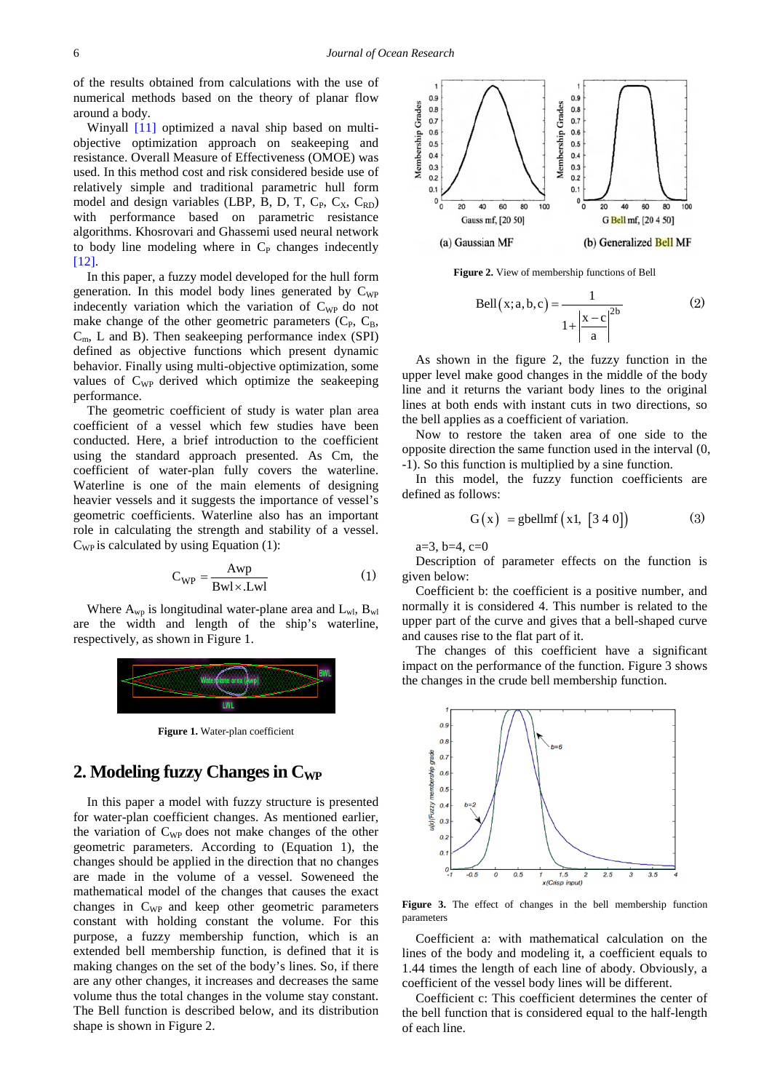of the results obtained from calculations with the use of numerical methods based on the theory of planar flow around a body.

Winyall [\[11\]](#page-5-0) optimized a naval ship based on multiobjective optimization approach on seakeeping and resistance. Overall Measure of Effectiveness (OMOE) was used. In this method cost and risk considered beside use of relatively simple and traditional parametric hull form model and design variables (LBP, B, D, T,  $C_P$ ,  $C_X$ ,  $C_{RD}$ ) with performance based on parametric resistance algorithms. Khosrovari and Ghassemi used neural network to body line modeling where in  $C_{P}$  changes indecently [\[12\].](#page-5-1)

In this paper, a fuzzy model developed for the hull form generation. In this model body lines generated by  $C_{WP}$ indecently variation which the variation of  $C_{WP}$  do not make change of the other geometric parameters  $(C_{P}, C_{B},$  $C<sub>m</sub>$ , L and B). Then seakeeping performance index (SPI) defined as objective functions which present dynamic behavior. Finally using multi-objective optimization, some values of  $C_{WP}$  derived which optimize the seakeeping performance.

The geometric coefficient of study is water plan area coefficient of a vessel which few studies have been conducted. Here, a brief introduction to the coefficient using the standard approach presented. As Cm, the coefficient of water-plan fully covers the waterline. Waterline is one of the main elements of designing heavier vessels and it suggests the importance of vessel's geometric coefficients. Waterline also has an important role in calculating the strength and stability of a vessel.  $C_{WP}$  is calculated by using Equation (1):

$$
C_{WP} = \frac{Awp}{Bwl \times Lwl}
$$
 (1)

Where  $A_{\rm wp}$  is longitudinal water-plane area and  $L_{\rm wh}$ ,  $B_{\rm wl}$ are the width and length of the ship's waterline, respectively, as shown in Figure 1.



**Figure 1.** Water-plan coefficient

#### **2. Modeling fuzzy Changes in CWP**

In this paper a model with fuzzy structure is presented for water-plan coefficient changes. As mentioned earlier, the variation of  $C_{WP}$  does not make changes of the other geometric parameters. According to (Equation 1), the changes should be applied in the direction that no changes are made in the volume of a vessel. Soweneed the mathematical model of the changes that causes the exact changes in C<sub>WP</sub> and keep other geometric parameters constant with holding constant the volume. For this purpose, a fuzzy membership function, which is an extended bell membership function, is defined that it is making changes on the set of the body's lines. So, if there are any other changes, it increases and decreases the same volume thus the total changes in the volume stay constant. The Bell function is described below, and its distribution shape is shown in Figure 2.



**Figure 2.** View of membership functions of Bell

Bell 
$$
(x; a, b, c) = \frac{1}{1 + |\frac{|x - c|^{2b}}{a}|}
$$
 (2)

As shown in the figure 2, the fuzzy function in the upper level make good changes in the middle of the body line and it returns the variant body lines to the original lines at both ends with instant cuts in two directions, so the bell applies as a coefficient of variation.

Now to restore the taken area of one side to the opposite direction the same function used in the interval (0, -1). So this function is multiplied by a sine function.

In this model, the fuzzy function coefficients are defined as follows:

$$
G(x) = \text{gbellmf}(x1, [3 \ 4 \ 0]) \tag{3}
$$

 $a=3, b=4, c=0$ 

Description of parameter effects on the function is given below:

Coefficient b: the coefficient is a positive number, and normally it is considered 4. This number is related to the upper part of the curve and gives that a bell-shaped curve and causes rise to the flat part of it.

The changes of this coefficient have a significant impact on the performance of the function. Figure 3 shows the changes in the crude bell membership function.



**Figure 3.** The effect of changes in the bell membership function parameters

Coefficient a: with mathematical calculation on the lines of the body and modeling it, a coefficient equals to 1.44 times the length of each line of abody. Obviously, a coefficient of the vessel body lines will be different.

Coefficient c: This coefficient determines the center of the bell function that is considered equal to the half-length of each line.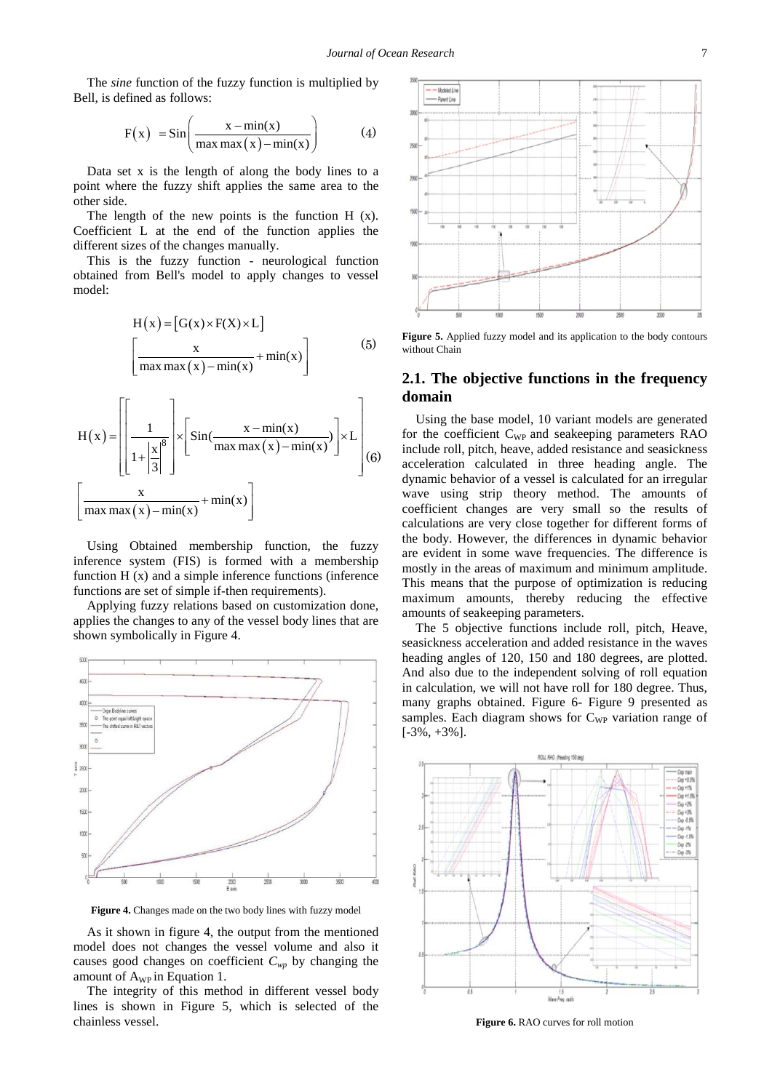The *sine* function of the fuzzy function is multiplied by Bell, is defined as follows:

$$
F(x) = Sin\left(\frac{x - min(x)}{max max(x) - min(x)}\right)
$$
 (4)

Data set x is the length of along the body lines to a point where the fuzzy shift applies the same area to the other side.

The length of the new points is the function H (x). Coefficient L at the end of the function applies the different sizes of the changes manually.

This is the fuzzy function - neurological function obtained from Bell's model to apply changes to vessel model:

$$
H(x) = [G(x) \times F(X) \times L]
$$
  

$$
\left[\frac{x}{\max \max(x) - \min(x)} + \min(x)\right]
$$
 (5)

$$
H(x) = \left[ \left[ \frac{1}{1 + \left| \frac{x}{3} \right|} \right] \times \left[ \text{Sin}(\frac{x - \min(x)}{\max \max(x) - \min(x)}) \right] \times L \right] (6)
$$

$$
\left[ \frac{x}{\max \max(x) - \min(x)} + \min(x) \right]
$$

Using Obtained membership function, the fuzzy inference system (FIS) is formed with a membership function H (x) and a simple inference functions (inference functions are set of simple if-then requirements).

Applying fuzzy relations based on customization done, applies the changes to any of the vessel body lines that are shown symbolically in Figure 4.



**Figure 4.** Changes made on the two body lines with fuzzy model

As it shown in figure 4, the output from the mentioned model does not changes the vessel volume and also it causes good changes on coefficient *Cwp* by changing the amount of  $A_{WP}$  in Equation 1.

The integrity of this method in different vessel body lines is shown in Figure 5, which is selected of the chainless vessel.



**Figure 5.** Applied fuzzy model and its application to the body contours without Chain

#### **2.1. The objective functions in the frequency domain**

Using the base model, 10 variant models are generated for the coefficient C<sub>WP</sub> and seakeeping parameters RAO include roll, pitch, heave, added resistance and seasickness acceleration calculated in three heading angle. The dynamic behavior of a vessel is calculated for an irregular wave using strip theory method. The amounts of coefficient changes are very small so the results of calculations are very close together for different forms of the body. However, the differences in dynamic behavior are evident in some wave frequencies. The difference is mostly in the areas of maximum and minimum amplitude. This means that the purpose of optimization is reducing maximum amounts, thereby reducing the effective amounts of seakeeping parameters.

The 5 objective functions include roll, pitch, Heave, seasickness acceleration and added resistance in the waves heading angles of 120, 150 and 180 degrees, are plotted. And also due to the independent solving of roll equation in calculation, we will not have roll for 180 degree. Thus, many graphs obtained. Figure 6- Figure 9 presented as samples. Each diagram shows for  $C_{WP}$  variation range of  $[-3\%, +3\%]$ .



**Figure 6.** RAO curves for roll motion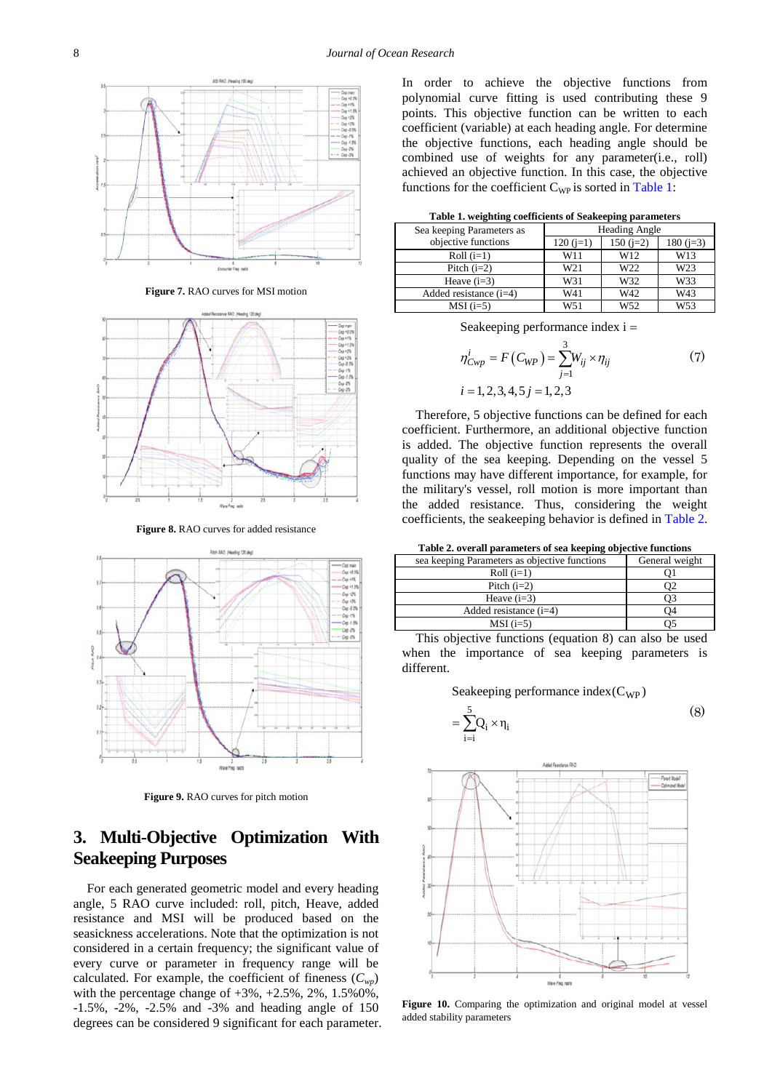

**Figure 7.** RAO curves for MSI motion



**Figure 8.** RAO curves for added resistance



**Figure 9.** RAO curves for pitch motion

## **3. Multi-Objective Optimization With Seakeeping Purposes**

For each generated geometric model and every heading angle, 5 RAO curve included: roll, pitch, Heave, added resistance and MSI will be produced based on the seasickness accelerations. Note that the optimization is not considered in a certain frequency; the significant value of every curve or parameter in frequency range will be calculated. For example, the coefficient of fineness  $(C_{wn})$ with the percentage change of  $+3\%$ ,  $+2.5\%$ ,  $2\%$ ,  $1.5\%0\%$ , -1.5%, -2%, -2.5% and -3% and heading angle of 150 degrees can be considered 9 significant for each parameter. In order to achieve the objective functions from polynomial curve fitting is used contributing these 9 points. This objective function can be written to each coefficient (variable) at each heading angle. For determine the objective functions, each heading angle should be combined use of weights for any parameter(i.e., roll) achieved an objective function. In this case, the objective functions for the coefficient  $C_{WP}$  is sorted in [Table 1:](#page-3-0)

**Table 1. weighting coefficients of Seakeeping parameters**

<span id="page-3-0"></span>

|                           | . .                  |            |                 |
|---------------------------|----------------------|------------|-----------------|
| Sea keeping Parameters as | <b>Heading Angle</b> |            |                 |
| objective functions       | $120(j=1)$           | $150(j=2)$ | 180 $(i=3)$     |
| $Roll (i=1)$              | W11                  | W12        | W13             |
| Pitch $(i=2)$             | W <sub>21</sub>      | W22        | W <sub>23</sub> |
| Heave $(i=3)$             | W31                  | W32        | W33             |
| Added resistance $(i=4)$  | W41                  | W42        | W43             |
| $MSI(i=5)$                | W <sub>51</sub>      | W52        | W <sub>53</sub> |

Seakeeping performance index i =

$$
\eta_{Cwp}^i = F(C_{WP}) = \sum_{j=1}^3 W_{ij} \times \eta_{ij}
$$
  
\n $i = 1, 2, 3, 4, 5j = 1, 2, 3$  (7)

Therefore, 5 objective functions can be defined for each coefficient. Furthermore, an additional objective function is added. The objective function represents the overall quality of the sea keeping. Depending on the vessel 5 functions may have different importance, for example, for the military's vessel, roll motion is more important than the added resistance. Thus, considering the weight coefficients, the seakeeping behavior is defined in [Table 2.](#page-3-1)

**Table 2. overall parameters of sea keeping objective functions**

<span id="page-3-1"></span>

| sea keeping Parameters as objective functions | General weight |
|-----------------------------------------------|----------------|
| $Roll(i=1)$                                   |                |
| Pitch $(i=2)$                                 |                |
| Heave $(i=3)$                                 |                |
| Added resistance $(i=4)$                      | O4             |
| $MSI(i=5)$                                    |                |

This objective functions (equation 8) can also be used when the importance of sea keeping parameters is different.

Seakeeping performance index( $C_{WP}$ )

$$
=\sum_{i=i}^{5}Q_i \times \eta_i
$$
 (8)



**Figure 10.** Comparing the optimization and original model at vessel added stability parameters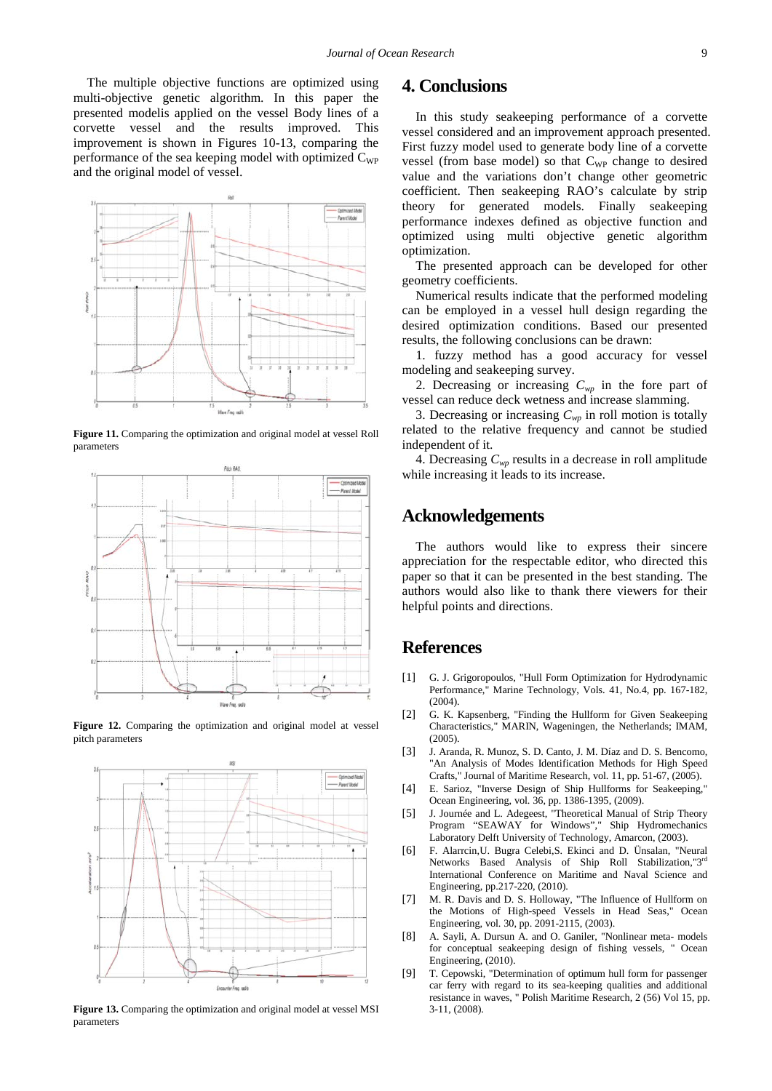The multiple objective functions are optimized using multi-objective genetic algorithm. In this paper the presented modelis applied on the vessel Body lines of a corvette vessel and the results improved. This improvement is shown in Figures 10-13, comparing the performance of the sea keeping model with optimized  $C_{WP}$ and the original model of vessel.



**Figure 11.** Comparing the optimization and original model at vessel Roll parameters



**Figure 12.** Comparing the optimization and original model at vessel pitch parameters



**Figure 13.** Comparing the optimization and original model at vessel MSI parameters

#### **4. Conclusions**

In this study seakeeping performance of a corvette vessel considered and an improvement approach presented. First fuzzy model used to generate body line of a corvette vessel (from base model) so that C<sub>WP</sub> change to desired value and the variations don't change other geometric coefficient. Then seakeeping RAO's calculate by strip theory for generated models. Finally seakeeping performance indexes defined as objective function and optimized using multi objective genetic algorithm optimization.

The presented approach can be developed for other geometry coefficients.

Numerical results indicate that the performed modeling can be employed in a vessel hull design regarding the desired optimization conditions. Based our presented results, the following conclusions can be drawn:

1. fuzzy method has a good accuracy for vessel modeling and seakeeping survey.

2. Decreasing or increasing  $C_{wp}$  in the fore part of vessel can reduce deck wetness and increase slamming.

3. Decreasing or increasing  $C_{wp}$  in roll motion is totally related to the relative frequency and cannot be studied independent of it.

4. Decreasing  $C_{wp}$  results in a decrease in roll amplitude while increasing it leads to its increase.

#### **Acknowledgements**

The authors would like to express their sincere appreciation for the respectable editor, who directed this paper so that it can be presented in the best standing. The authors would also like to thank there viewers for their helpful points and directions.

### **References**

- <span id="page-4-0"></span>[1] G. J. Grigoropoulos, "Hull Form Optimization for Hydrodynamic Performance," Marine Technology, Vols. 41, No.4, pp. 167-182, (2004).
- <span id="page-4-1"></span>[2] G. K. Kapsenberg, "Finding the Hullform for Given Seakeeping Characteristics," MARIN, Wageningen, the Netherlands; IMAM, (2005).
- <span id="page-4-2"></span>[3] J. Aranda, R. Munoz, S. D. Canto, J. M. Díaz and D. S. Bencomo, "An Analysis of Modes Identification Methods for High Speed Crafts," Journal of Maritime Research, vol. 11, pp. 51-67, (2005).
- <span id="page-4-3"></span>[4] E. Sarioz, "Inverse Design of Ship Hullforms for Seakeeping," Ocean Engineering, vol. 36, pp. 1386-1395, (2009).
- <span id="page-4-4"></span>[5] J. Journée and L. Adegeest, "Theoretical Manual of Strip Theory Program "SEAWAY for Windows"," Ship Hydromechanics Laboratory Delft University of Technology, Amarcon, (2003).
- <span id="page-4-5"></span>[6] F. Alarrcin,U. Bugra Celebi,S. Ekinci and D. Ünsalan, "Neural Networks Based Analysis of Ship Roll Stabilization,"3rd International Conference on Maritime and Naval Science and Engineering, pp.217-220, (2010).
- <span id="page-4-6"></span>[7] M. R. Davis and D. S. Holloway, "The Influence of Hullform on the Motions of High-speed Vessels in Head Seas," Ocean Engineering, vol. 30, pp. 2091-2115, (2003).
- <span id="page-4-7"></span>[8] A. Sayli, A. Dursun A. and O. Ganiler, "Nonlinear meta- models for conceptual seakeeping design of fishing vessels, " Ocean Engineering, (2010).
- <span id="page-4-8"></span>[9] T. Cepowski, "Determination of optimum hull form for passenger car ferry with regard to its sea-keeping qualities and additional resistance in waves, " Polish Maritime Research, 2 (56) Vol 15, pp. 3-11, (2008).